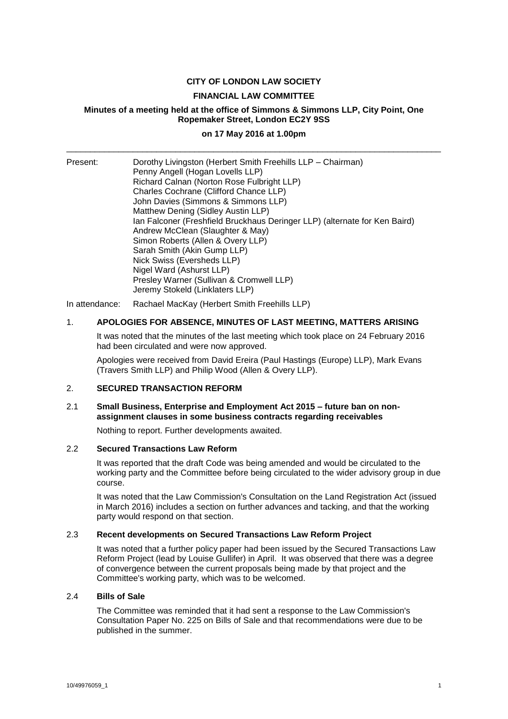# **CITY OF LONDON LAW SOCIETY**

### **FINANCIAL LAW COMMITTEE**

# **Minutes of a meeting held at the office of Simmons & Simmons LLP, City Point, One Ropemaker Street, London EC2Y 9SS**

# **on 17 May 2016 at 1.00pm** \_\_\_\_\_\_\_\_\_\_\_\_\_\_\_\_\_\_\_\_\_\_\_\_\_\_\_\_\_\_\_\_\_\_\_\_\_\_\_\_\_\_\_\_\_\_\_\_\_\_\_\_\_\_\_\_\_\_\_\_\_\_\_\_\_\_\_\_\_\_\_\_\_\_\_\_\_\_\_

| Present: | Dorothy Livingston (Herbert Smith Freehills LLP - Chairman)<br>Penny Angell (Hogan Lovells LLP)<br>Richard Calnan (Norton Rose Fulbright LLP)<br>Charles Cochrane (Clifford Chance LLP)<br>John Davies (Simmons & Simmons LLP)<br>Matthew Dening (Sidley Austin LLP)<br>Ian Falconer (Freshfield Bruckhaus Deringer LLP) (alternate for Ken Baird)<br>Andrew McClean (Slaughter & May)<br>Simon Roberts (Allen & Overy LLP)<br>Sarah Smith (Akin Gump LLP)<br>Nick Swiss (Eversheds LLP)<br>Nigel Ward (Ashurst LLP) |
|----------|----------------------------------------------------------------------------------------------------------------------------------------------------------------------------------------------------------------------------------------------------------------------------------------------------------------------------------------------------------------------------------------------------------------------------------------------------------------------------------------------------------------------|
|          | Presley Warner (Sullivan & Cromwell LLP)<br>Jeremy Stokeld (Linklaters LLP)                                                                                                                                                                                                                                                                                                                                                                                                                                          |

In attendance: Rachael MacKay (Herbert Smith Freehills LLP)

## 1. **APOLOGIES FOR ABSENCE, MINUTES OF LAST MEETING, MATTERS ARISING**

It was noted that the minutes of the last meeting which took place on 24 February 2016 had been circulated and were now approved.

Apologies were received from David Ereira (Paul Hastings (Europe) LLP), Mark Evans (Travers Smith LLP) and Philip Wood (Allen & Overy LLP).

### 2. **SECURED TRANSACTION REFORM**

### 2.1 **Small Business, Enterprise and Employment Act 2015 – future ban on nonassignment clauses in some business contracts regarding receivables**

Nothing to report. Further developments awaited.

# 2.2 **Secured Transactions Law Reform**

It was reported that the draft Code was being amended and would be circulated to the working party and the Committee before being circulated to the wider advisory group in due course.

It was noted that the Law Commission's Consultation on the Land Registration Act (issued in March 2016) includes a section on further advances and tacking, and that the working party would respond on that section.

### 2.3 **Recent developments on Secured Transactions Law Reform Project**

It was noted that a further policy paper had been issued by the Secured Transactions Law Reform Project (lead by Louise Gullifer) in April. It was observed that there was a degree of convergence between the current proposals being made by that project and the Committee's working party, which was to be welcomed.

#### 2.4 **Bills of Sale**

The Committee was reminded that it had sent a response to the Law Commission's Consultation Paper No. 225 on Bills of Sale and that recommendations were due to be published in the summer.